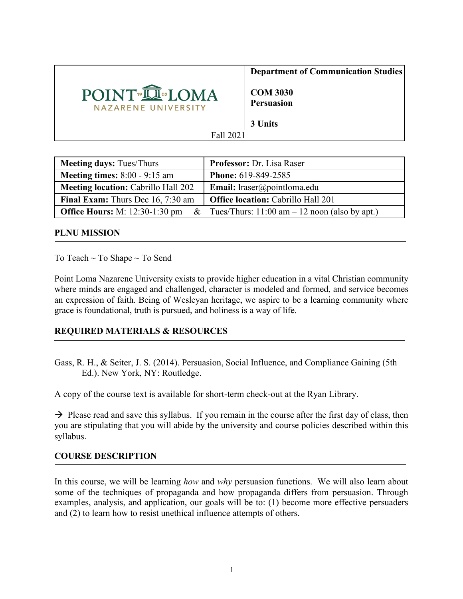

| <b>Meeting days: Tues/Thurs</b>               | <b>Professor: Dr. Lisa Raser</b>                 |
|-----------------------------------------------|--------------------------------------------------|
| <b>Meeting times:</b> $8:00 - 9:15$ am        | <b>Phone: 619-849-2585</b>                       |
| <b>Meeting location: Cabrillo Hall 202</b>    | <b>Email:</b> lraser@pointloma.edu               |
| <b>Final Exam:</b> Thurs Dec 16, 7:30 am      | <b>Office location: Cabrillo Hall 201</b>        |
| <b>Office Hours:</b> M: 12:30-1:30 pm<br>$\&$ | Tues/Thurs: $11:00$ am $-12$ noon (also by apt.) |

#### **PLNU MISSION**

To Teach ~ To Shape ~ To Send

Point Loma Nazarene University exists to provide higher education in a vital Christian community where minds are engaged and challenged, character is modeled and formed, and service becomes an expression of faith. Being of Wesleyan heritage, we aspire to be a learning community where grace is foundational, truth is pursued, and holiness is a way of life.

## **REQUIRED MATERIALS & RESOURCES**

Gass, R. H., & Seiter, J. S. (2014). Persuasion, Social Influence, and Compliance Gaining (5th Ed.). New York, NY: Routledge.

A copy of the course text is available for short-term check-out at the Ryan Library.

 $\rightarrow$  Please read and save this syllabus. If you remain in the course after the first day of class, then you are stipulating that you will abide by the university and course policies described within this syllabus.

## **COURSE DESCRIPTION**

In this course, we will be learning *how* and *why* persuasion functions. We will also learn about some of the techniques of propaganda and how propaganda differs from persuasion. Through examples, analysis, and application, our goals will be to: (1) become more effective persuaders and (2) to learn how to resist unethical influence attempts of others.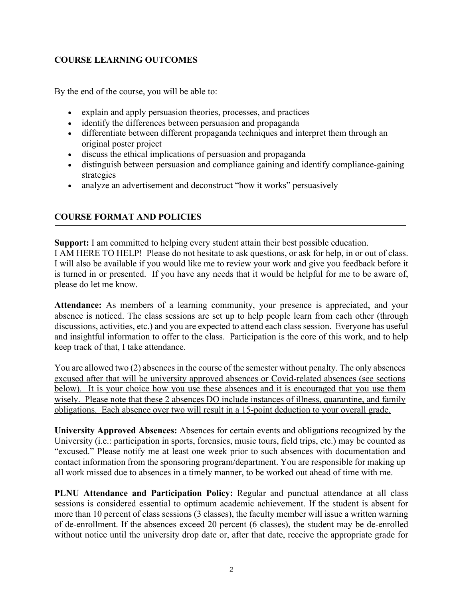## **COURSE LEARNING OUTCOMES**

By the end of the course, you will be able to:

- explain and apply persuasion theories, processes, and practices
- identify the differences between persuasion and propaganda
- differentiate between different propaganda techniques and interpret them through an original poster project
- discuss the ethical implications of persuasion and propaganda
- distinguish between persuasion and compliance gaining and identify compliance-gaining strategies
- analyze an advertisement and deconstruct "how it works" persuasively

# **COURSE FORMAT AND POLICIES**

**Support:** I am committed to helping every student attain their best possible education. I AM HERE TO HELP! Please do not hesitate to ask questions, or ask for help, in or out of class. I will also be available if you would like me to review your work and give you feedback before it is turned in or presented. If you have any needs that it would be helpful for me to be aware of, please do let me know.

**Attendance:** As members of a learning community, your presence is appreciated, and your absence is noticed. The class sessions are set up to help people learn from each other (through discussions, activities, etc.) and you are expected to attend each class session. Everyone has useful and insightful information to offer to the class. Participation is the core of this work, and to help keep track of that, I take attendance.

You are allowed two (2) absences in the course of the semester without penalty. The only absences excused after that will be university approved absences or Covid-related absences (see sections below). It is your choice how you use these absences and it is encouraged that you use them wisely. Please note that these 2 absences DO include instances of illness, quarantine, and family obligations. Each absence over two will result in a 15-point deduction to your overall grade.

**University Approved Absences:** Absences for certain events and obligations recognized by the University (i.e.: participation in sports, forensics, music tours, field trips, etc.) may be counted as "excused." Please notify me at least one week prior to such absences with documentation and contact information from the sponsoring program/department. You are responsible for making up all work missed due to absences in a timely manner, to be worked out ahead of time with me.

**PLNU Attendance and Participation Policy:** Regular and punctual attendance at all class sessions is considered essential to optimum academic achievement. If the student is absent for more than 10 percent of class sessions (3 classes), the faculty member will issue a written warning of de-enrollment. If the absences exceed 20 percent (6 classes), the student may be de-enrolled without notice until the university drop date or, after that date, receive the appropriate grade for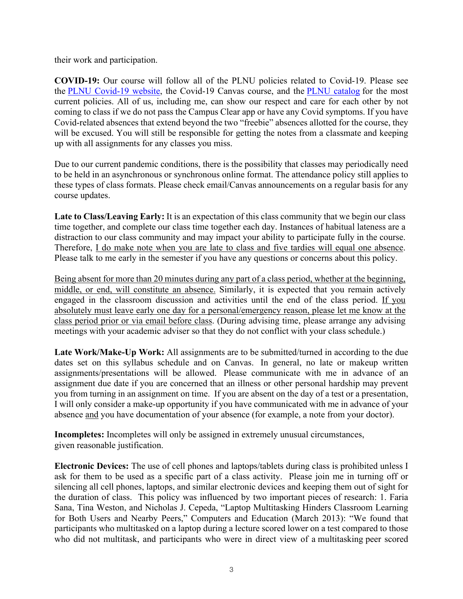their work and participation.

**COVID-19:** Our course will follow all of the PLNU policies related to Covid-19. Please see the PLNU Covid-19 website, the Covid-19 Canvas course, and the PLNU catalog for the most current policies. All of us, including me, can show our respect and care for each other by not coming to class if we do not pass the Campus Clear app or have any Covid symptoms. If you have Covid-related absences that extend beyond the two "freebie" absences allotted for the course, they will be excused. You will still be responsible for getting the notes from a classmate and keeping up with all assignments for any classes you miss.

Due to our current pandemic conditions, there is the possibility that classes may periodically need to be held in an asynchronous or synchronous online format. The attendance policy still applies to these types of class formats. Please check email/Canvas announcements on a regular basis for any course updates.

**Late to Class/Leaving Early:** It is an expectation of this class community that we begin our class time together, and complete our class time together each day. Instances of habitual lateness are a distraction to our class community and may impact your ability to participate fully in the course. Therefore, I do make note when you are late to class and five tardies will equal one absence. Please talk to me early in the semester if you have any questions or concerns about this policy.

Being absent for more than 20 minutes during any part of a class period, whether at the beginning, middle, or end, will constitute an absence. Similarly, it is expected that you remain actively engaged in the classroom discussion and activities until the end of the class period. If you absolutely must leave early one day for a personal/emergency reason, please let me know at the class period prior or via email before class. (During advising time, please arrange any advising meetings with your academic adviser so that they do not conflict with your class schedule.)

Late Work/Make-Up Work: All assignments are to be submitted/turned in according to the due dates set on this syllabus schedule and on Canvas. In general, no late or makeup written assignments/presentations will be allowed. Please communicate with me in advance of an assignment due date if you are concerned that an illness or other personal hardship may prevent you from turning in an assignment on time. If you are absent on the day of a test or a presentation, I will only consider a make-up opportunity if you have communicated with me in advance of your absence and you have documentation of your absence (for example, a note from your doctor).

**Incompletes:** Incompletes will only be assigned in extremely unusual circumstances, given reasonable justification.

**Electronic Devices:** The use of cell phones and laptops/tablets during class is prohibited unless I ask for them to be used as a specific part of a class activity. Please join me in turning off or silencing all cell phones, laptops, and similar electronic devices and keeping them out of sight for the duration of class. This policy was influenced by two important pieces of research: 1. Faria Sana, Tina Weston, and Nicholas J. Cepeda, "Laptop Multitasking Hinders Classroom Learning for Both Users and Nearby Peers," Computers and Education (March 2013): "We found that participants who multitasked on a laptop during a lecture scored lower on a test compared to those who did not multitask, and participants who were in direct view of a multitasking peer scored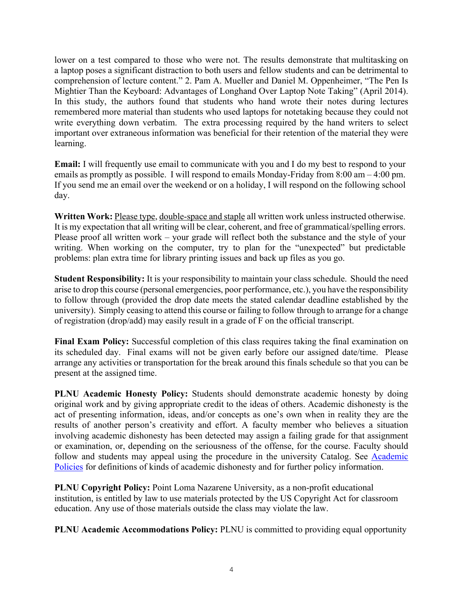lower on a test compared to those who were not. The results demonstrate that multitasking on a laptop poses a significant distraction to both users and fellow students and can be detrimental to comprehension of lecture content." 2. Pam A. Mueller and Daniel M. Oppenheimer, "The Pen Is Mightier Than the Keyboard: Advantages of Longhand Over Laptop Note Taking" (April 2014). In this study, the authors found that students who hand wrote their notes during lectures remembered more material than students who used laptops for notetaking because they could not write everything down verbatim. The extra processing required by the hand writers to select important over extraneous information was beneficial for their retention of the material they were learning.

**Email:** I will frequently use email to communicate with you and I do my best to respond to your emails as promptly as possible. I will respond to emails Monday-Friday from 8:00 am – 4:00 pm. If you send me an email over the weekend or on a holiday, I will respond on the following school day.

**Written Work:** Please type, double-space and staple all written work unless instructed otherwise. It is my expectation that all writing will be clear, coherent, and free of grammatical/spelling errors. Please proof all written work – your grade will reflect both the substance and the style of your writing. When working on the computer, try to plan for the "unexpected" but predictable problems: plan extra time for library printing issues and back up files as you go.

**Student Responsibility:** It is your responsibility to maintain your class schedule. Should the need arise to drop this course (personal emergencies, poor performance, etc.), you have the responsibility to follow through (provided the drop date meets the stated calendar deadline established by the university). Simply ceasing to attend this course or failing to follow through to arrange for a change of registration (drop/add) may easily result in a grade of F on the official transcript.

**Final Exam Policy:** Successful completion of this class requires taking the final examination on its scheduled day. Final exams will not be given early before our assigned date/time. Please arrange any activities or transportation for the break around this finals schedule so that you can be present at the assigned time.

**PLNU Academic Honesty Policy:** Students should demonstrate academic honesty by doing original work and by giving appropriate credit to the ideas of others. Academic dishonesty is the act of presenting information, ideas, and/or concepts as one's own when in reality they are the results of another person's creativity and effort. A faculty member who believes a situation involving academic dishonesty has been detected may assign a failing grade for that assignment or examination, or, depending on the seriousness of the offense, for the course. Faculty should follow and students may appeal using the procedure in the university Catalog. See Academic Policies for definitions of kinds of academic dishonesty and for further policy information.

**PLNU Copyright Policy:** Point Loma Nazarene University, as a non-profit educational institution, is entitled by law to use materials protected by the US Copyright Act for classroom education. Any use of those materials outside the class may violate the law.

**PLNU Academic Accommodations Policy:** PLNU is committed to providing equal opportunity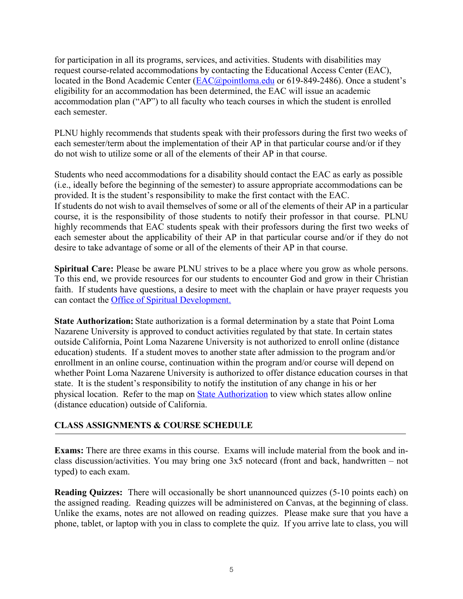for participation in all its programs, services, and activities. Students with disabilities may request course-related accommodations by contacting the Educational Access Center (EAC), located in the Bond Academic Center (EAC@pointloma.edu or 619-849-2486). Once a student's eligibility for an accommodation has been determined, the EAC will issue an academic accommodation plan ("AP") to all faculty who teach courses in which the student is enrolled each semester.

PLNU highly recommends that students speak with their professors during the first two weeks of each semester/term about the implementation of their AP in that particular course and/or if they do not wish to utilize some or all of the elements of their AP in that course.

Students who need accommodations for a disability should contact the EAC as early as possible (i.e., ideally before the beginning of the semester) to assure appropriate accommodations can be provided. It is the student's responsibility to make the first contact with the EAC. If students do not wish to avail themselves of some or all of the elements of their AP in a particular course, it is the responsibility of those students to notify their professor in that course. PLNU highly recommends that EAC students speak with their professors during the first two weeks of each semester about the applicability of their AP in that particular course and/or if they do not desire to take advantage of some or all of the elements of their AP in that course.

**Spiritual Care:** Please be aware PLNU strives to be a place where you grow as whole persons. To this end, we provide resources for our students to encounter God and grow in their Christian faith. If students have questions, a desire to meet with the chaplain or have prayer requests you can contact the Office of Spiritual Development.

**State Authorization:** State authorization is a formal determination by a state that Point Loma Nazarene University is approved to conduct activities regulated by that state. In certain states outside California, Point Loma Nazarene University is not authorized to enroll online (distance education) students. If a student moves to another state after admission to the program and/or enrollment in an online course, continuation within the program and/or course will depend on whether Point Loma Nazarene University is authorized to offer distance education courses in that state. It is the student's responsibility to notify the institution of any change in his or her physical location. Refer to the map on State Authorization to view which states allow online (distance education) outside of California.

# **CLASS ASSIGNMENTS & COURSE SCHEDULE**

**Exams:** There are three exams in this course. Exams will include material from the book and inclass discussion/activities. You may bring one 3x5 notecard (front and back, handwritten – not typed) to each exam.

**Reading Ouizzes:** There will occasionally be short unannounced quizzes (5-10 points each) on the assigned reading. Reading quizzes will be administered on Canvas, at the beginning of class. Unlike the exams, notes are not allowed on reading quizzes. Please make sure that you have a phone, tablet, or laptop with you in class to complete the quiz. If you arrive late to class, you will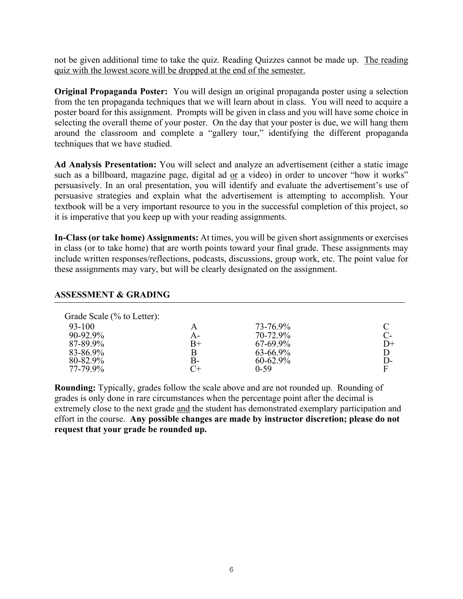not be given additional time to take the quiz. Reading Quizzes cannot be made up. The reading quiz with the lowest score will be dropped at the end of the semester.

**Original Propaganda Poster:** You will design an original propaganda poster using a selection from the ten propaganda techniques that we will learn about in class. You will need to acquire a poster board for this assignment. Prompts will be given in class and you will have some choice in selecting the overall theme of your poster. On the day that your poster is due, we will hang them around the classroom and complete a "gallery tour," identifying the different propaganda techniques that we have studied.

**Ad Analysis Presentation:** You will select and analyze an advertisement (either a static image such as a billboard, magazine page, digital ad or a video) in order to uncover "how it works" persuasively. In an oral presentation, you will identify and evaluate the advertisement's use of persuasive strategies and explain what the advertisement is attempting to accomplish. Your textbook will be a very important resource to you in the successful completion of this project, so it is imperative that you keep up with your reading assignments.

**In-Class (or take home) Assignments:** At times, you will be given short assignments or exercises in class (or to take home) that are worth points toward your final grade. These assignments may include written responses/reflections, podcasts, discussions, group work, etc. The point value for these assignments may vary, but will be clearly designated on the assignment.

#### **ASSESSMENT & GRADING**

| Grade Scale (% to Letter): |             |               |       |
|----------------------------|-------------|---------------|-------|
| 93-100                     |             | 73-76.9%      | C     |
| 90-92.9%                   | A-          | 70-72.9%      | $C$ - |
| 87-89.9%                   | $_{\rm B+}$ | $67 - 69.9\%$ | $D+$  |
| 83-86.9%                   | B           | $63 - 66.9\%$ | D     |
| 80-82.9%                   | B-          | $60 - 62.9\%$ | D-    |
| 77-79.9%                   |             | $0 - 59$      | F     |

**Rounding:** Typically, grades follow the scale above and are not rounded up. Rounding of grades is only done in rare circumstances when the percentage point after the decimal is extremely close to the next grade and the student has demonstrated exemplary participation and effort in the course. **Any possible changes are made by instructor discretion; please do not request that your grade be rounded up.**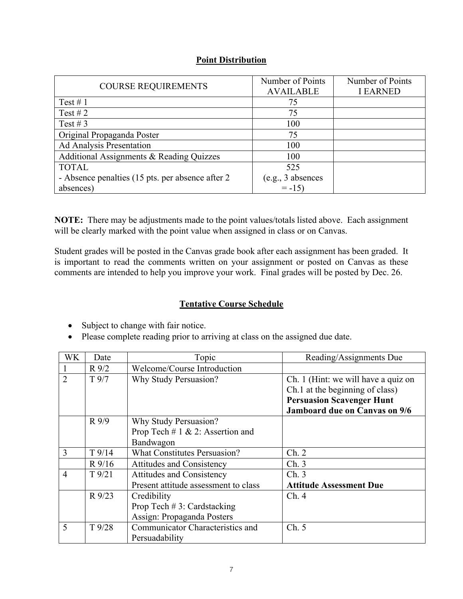## **Point Distribution**

| <b>COURSE REQUIREMENTS</b>                        | Number of Points  | Number of Points |
|---------------------------------------------------|-------------------|------------------|
|                                                   | <b>AVAILABLE</b>  | <b>I EARNED</b>  |
| Test #1                                           | 75                |                  |
| Test #2                                           | 75                |                  |
| Test # $3$                                        | 100               |                  |
| Original Propaganda Poster                        | 75                |                  |
| Ad Analysis Presentation                          | 100               |                  |
| Additional Assignments & Reading Quizzes          | 100               |                  |
| <b>TOTAL</b>                                      | 525               |                  |
| - Absence penalties (15 pts. per absence after 2) | (e.g., 3 absences |                  |
| absences)                                         | $= -15$           |                  |

**NOTE:** There may be adjustments made to the point values/totals listed above. Each assignment will be clearly marked with the point value when assigned in class or on Canvas.

Student grades will be posted in the Canvas grade book after each assignment has been graded. It is important to read the comments written on your assignment or posted on Canvas as these comments are intended to help you improve your work. Final grades will be posted by Dec. 26.

## **Tentative Course Schedule**

- Subject to change with fair notice.
- Please complete reading prior to arriving at class on the assigned due date.

| WK             | Date            | Topic                                | Reading/Assignments Due              |
|----------------|-----------------|--------------------------------------|--------------------------------------|
|                | $R\,9/2$        | Welcome/Course Introduction          |                                      |
| $\overline{2}$ | $T\frac{9}{7}$  | Why Study Persuasion?                | Ch. 1 (Hint: we will have a quiz on  |
|                |                 |                                      | Ch.1 at the beginning of class)      |
|                |                 |                                      | <b>Persuasion Scavenger Hunt</b>     |
|                |                 |                                      | <b>Jamboard due on Canvas on 9/6</b> |
|                | R9/9            | Why Study Persuasion?                |                                      |
|                |                 | Prop Tech # $1 \& 2$ : Assertion and |                                      |
|                |                 | Bandwagon                            |                                      |
| 3              | $T$ 9/14        | <b>What Constitutes Persuasion?</b>  | Ch. 2                                |
|                | R9/16           | <b>Attitudes and Consistency</b>     | Ch.3                                 |
| $\overline{4}$ | $T\frac{9}{21}$ | <b>Attitudes and Consistency</b>     | Ch.3                                 |
|                |                 | Present attitude assessment to class | <b>Attitude Assessment Due</b>       |
|                | R 9/23          | Credibility                          | Ch.4                                 |
|                |                 | Prop Tech $# 3$ : Cardstacking       |                                      |
|                |                 | Assign: Propaganda Posters           |                                      |
| 5              | $T\frac{9}{28}$ | Communicator Characteristics and     | Ch. 5                                |
|                |                 | Persuadability                       |                                      |